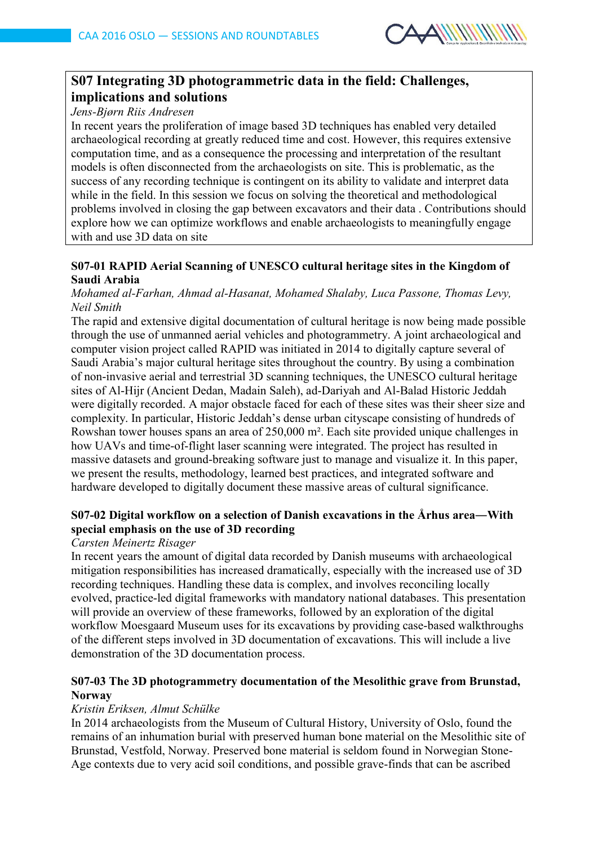

# **S07 Integrating 3D photogrammetric data in the field: Challenges, implications and solutions**

*Jens-Bjørn Riis Andresen*

In recent years the proliferation of image based 3D techniques has enabled very detailed archaeological recording at greatly reduced time and cost. However, this requires extensive computation time, and as a consequence the processing and interpretation of the resultant models is often disconnected from the archaeologists on site. This is problematic, as the success of any recording technique is contingent on its ability to validate and interpret data while in the field. In this session we focus on solving the theoretical and methodological problems involved in closing the gap between excavators and their data . Contributions should explore how we can optimize workflows and enable archaeologists to meaningfully engage with and use 3D data on site

### **S07-01 RAPID Aerial Scanning of UNESCO cultural heritage sites in the Kingdom of Saudi Arabia**

### *Mohamed al-Farhan, Ahmad al-Hasanat, Mohamed Shalaby, Luca Passone, Thomas Levy, Neil Smith*

The rapid and extensive digital documentation of cultural heritage is now being made possible through the use of unmanned aerial vehicles and photogrammetry. A joint archaeological and computer vision project called RAPID was initiated in 2014 to digitally capture several of Saudi Arabia's major cultural heritage sites throughout the country. By using a combination of non-invasive aerial and terrestrial 3D scanning techniques, the UNESCO cultural heritage sites of Al-Hijr (Ancient Dedan, Madain Saleh), ad-Dariyah and Al-Balad Historic Jeddah were digitally recorded. A major obstacle faced for each of these sites was their sheer size and complexity. In particular, Historic Jeddah's dense urban cityscape consisting of hundreds of Rowshan tower houses spans an area of 250,000 m². Each site provided unique challenges in how UAVs and time-of-flight laser scanning were integrated. The project has resulted in massive datasets and ground-breaking software just to manage and visualize it. In this paper, we present the results, methodology, learned best practices, and integrated software and hardware developed to digitally document these massive areas of cultural significance.

# **S07-02 Digital workflow on a selection of Danish excavations in the Århus area―With special emphasis on the use of 3D recording**

*Carsten Meinertz Risager*

In recent years the amount of digital data recorded by Danish museums with archaeological mitigation responsibilities has increased dramatically, especially with the increased use of 3D recording techniques. Handling these data is complex, and involves reconciling locally evolved, practice-led digital frameworks with mandatory national databases. This presentation will provide an overview of these frameworks, followed by an exploration of the digital workflow Moesgaard Museum uses for its excavations by providing case-based walkthroughs of the different steps involved in 3D documentation of excavations. This will include a live demonstration of the 3D documentation process.

# **S07-03 The 3D photogrammetry documentation of the Mesolithic grave from Brunstad, Norway**

# *Kristin Eriksen, Almut Schülke*

In 2014 archaeologists from the Museum of Cultural History, University of Oslo, found the remains of an inhumation burial with preserved human bone material on the Mesolithic site of Brunstad, Vestfold, Norway. Preserved bone material is seldom found in Norwegian Stone-Age contexts due to very acid soil conditions, and possible grave-finds that can be ascribed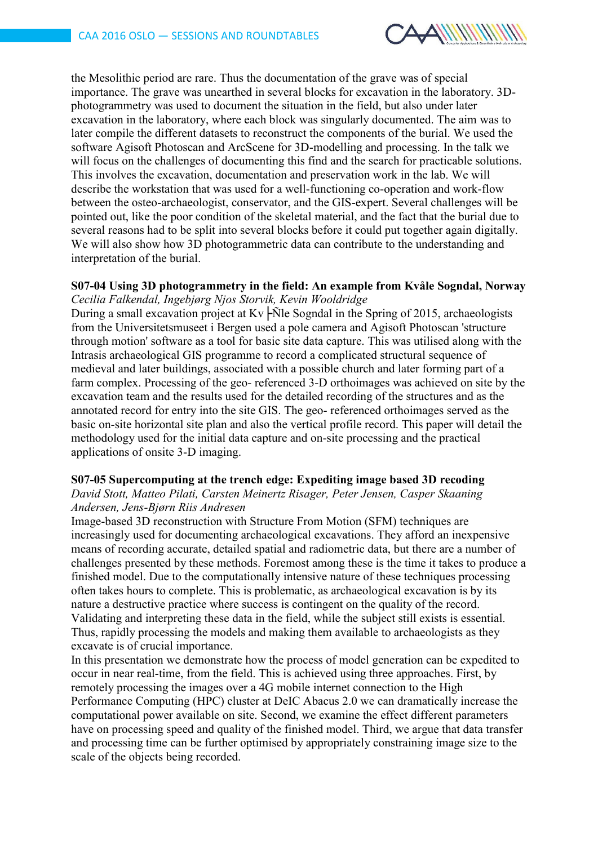

the Mesolithic period are rare. Thus the documentation of the grave was of special importance. The grave was unearthed in several blocks for excavation in the laboratory. 3Dphotogrammetry was used to document the situation in the field, but also under later excavation in the laboratory, where each block was singularly documented. The aim was to later compile the different datasets to reconstruct the components of the burial. We used the software Agisoft Photoscan and ArcScene for 3D-modelling and processing. In the talk we will focus on the challenges of documenting this find and the search for practicable solutions. This involves the excavation, documentation and preservation work in the lab. We will describe the workstation that was used for a well-functioning co-operation and work-flow between the osteo-archaeologist, conservator, and the GIS-expert. Several challenges will be pointed out, like the poor condition of the skeletal material, and the fact that the burial due to several reasons had to be split into several blocks before it could put together again digitally. We will also show how 3D photogrammetric data can contribute to the understanding and interpretation of the burial.

### **S07-04 Using 3D photogrammetry in the field: An example from Kvåle Sogndal, Norway** *Cecilia Falkendal, Ingebjørg Njos Storvik, Kevin Wooldridge*

During a small excavation project at  $Kv$   $\widehat{\text{N}}$  Sogndal in the Spring of 2015, archaeologists from the Universitetsmuseet i Bergen used a pole camera and Agisoft Photoscan 'structure through motion' software as a tool for basic site data capture. This was utilised along with the Intrasis archaeological GIS programme to record a complicated structural sequence of medieval and later buildings, associated with a possible church and later forming part of a farm complex. Processing of the geo- referenced 3-D orthoimages was achieved on site by the excavation team and the results used for the detailed recording of the structures and as the annotated record for entry into the site GIS. The geo- referenced orthoimages served as the basic on-site horizontal site plan and also the vertical profile record. This paper will detail the methodology used for the initial data capture and on-site processing and the practical applications of onsite 3-D imaging.

### **S07-05 Supercomputing at the trench edge: Expediting image based 3D recoding**

#### *David Stott, Matteo Pilati, Carsten Meinertz Risager, Peter Jensen, Casper Skaaning Andersen, Jens-Bjørn Riis Andresen*

Image-based 3D reconstruction with Structure From Motion (SFM) techniques are increasingly used for documenting archaeological excavations. They afford an inexpensive means of recording accurate, detailed spatial and radiometric data, but there are a number of challenges presented by these methods. Foremost among these is the time it takes to produce a finished model. Due to the computationally intensive nature of these techniques processing often takes hours to complete. This is problematic, as archaeological excavation is by its nature a destructive practice where success is contingent on the quality of the record. Validating and interpreting these data in the field, while the subject still exists is essential. Thus, rapidly processing the models and making them available to archaeologists as they excavate is of crucial importance.

In this presentation we demonstrate how the process of model generation can be expedited to occur in near real-time, from the field. This is achieved using three approaches. First, by remotely processing the images over a 4G mobile internet connection to the High Performance Computing (HPC) cluster at DeIC Abacus 2.0 we can dramatically increase the computational power available on site. Second, we examine the effect different parameters have on processing speed and quality of the finished model. Third, we argue that data transfer and processing time can be further optimised by appropriately constraining image size to the scale of the objects being recorded.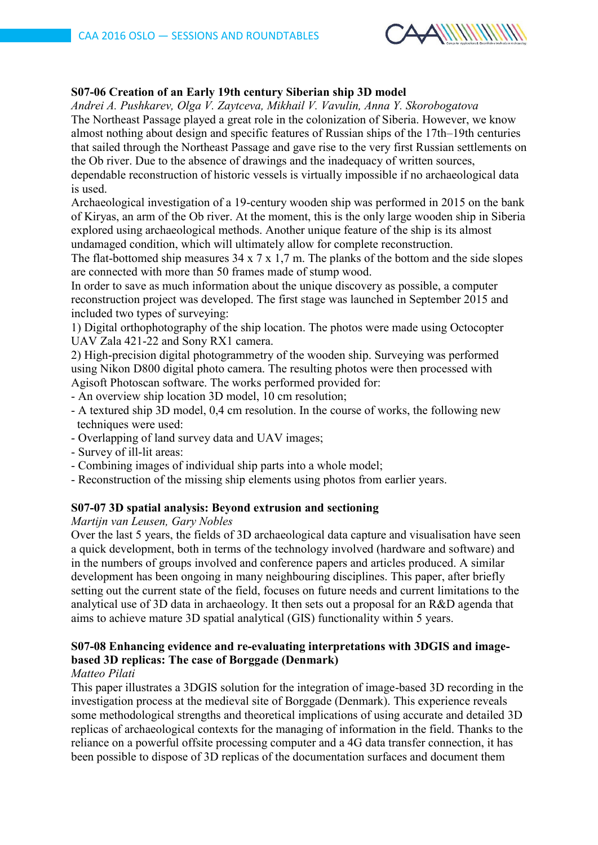

### **S07-06 Creation of an Early 19th century Siberian ship 3D model**

*Andrei A. Pushkarev, Olga V. Zaytсeva, Mikhail V. Vavulin, Anna Y. Skorobogatova* The Northeast Passage played a great role in the colonization of Siberia. However, we know almost nothing about design and specific features of Russian ships of the 17th–19th centuries that sailed through the Northeast Passage and gave rise to the very first Russian settlements on the Ob river. Due to the absence of drawings and the inadequacy of written sources, dependable reconstruction of historic vessels is virtually impossible if no archaeological data is used.

Archaeological investigation of a 19-century wooden ship was performed in 2015 on the bank of Kiryas, an arm of the Ob river. At the moment, this is the only large wooden ship in Siberia explored using archaeological methods. Another unique feature of the ship is its almost undamaged condition, which will ultimately allow for complete reconstruction.

The flat-bottomed ship measures 34 x 7 x 1,7 m. The planks of the bottom and the side slopes are connected with more than 50 frames made of stump wood.

In order to save as much information about the unique discovery as possible, a computer reconstruction project was developed. The first stage was launched in September 2015 and included two types of surveying:

1) Digital orthophotography of the ship location. The photos were made using Octocopter UAV Zala 421-22 and Sony RX1 camera.

2) High-precision digital photogrammetry of the wooden ship. Surveying was performed using Nikon D800 digital photo camera. The resulting photos were then processed with Agisoft Photoscan software. The works performed provided for:

- An overview ship location 3D model, 10 cm resolution;
- A textured ship 3D model, 0,4 cm resolution. In the course of works, the following new techniques were used:
- Overlapping of land survey data and UAV images;
- Survey of ill-lit areas:
- Combining images of individual ship parts into a whole model;
- Reconstruction of the missing ship elements using photos from earlier years.

### **S07-07 3D spatial analysis: Beyond extrusion and sectioning**

*Martijn van Leusen, Gary Nobles*

Over the last 5 years, the fields of 3D archaeological data capture and visualisation have seen a quick development, both in terms of the technology involved (hardware and software) and in the numbers of groups involved and conference papers and articles produced. A similar development has been ongoing in many neighbouring disciplines. This paper, after briefly setting out the current state of the field, focuses on future needs and current limitations to the analytical use of 3D data in archaeology. It then sets out a proposal for an R&D agenda that aims to achieve mature 3D spatial analytical (GIS) functionality within 5 years.

# **S07-08 Enhancing evidence and re-evaluating interpretations with 3DGIS and imagebased 3D replicas: The case of Borggade (Denmark)**

#### *Matteo Pilati*

This paper illustrates a 3DGIS solution for the integration of image-based 3D recording in the investigation process at the medieval site of Borggade (Denmark). This experience reveals some methodological strengths and theoretical implications of using accurate and detailed 3D replicas of archaeological contexts for the managing of information in the field. Thanks to the reliance on a powerful offsite processing computer and a 4G data transfer connection, it has been possible to dispose of 3D replicas of the documentation surfaces and document them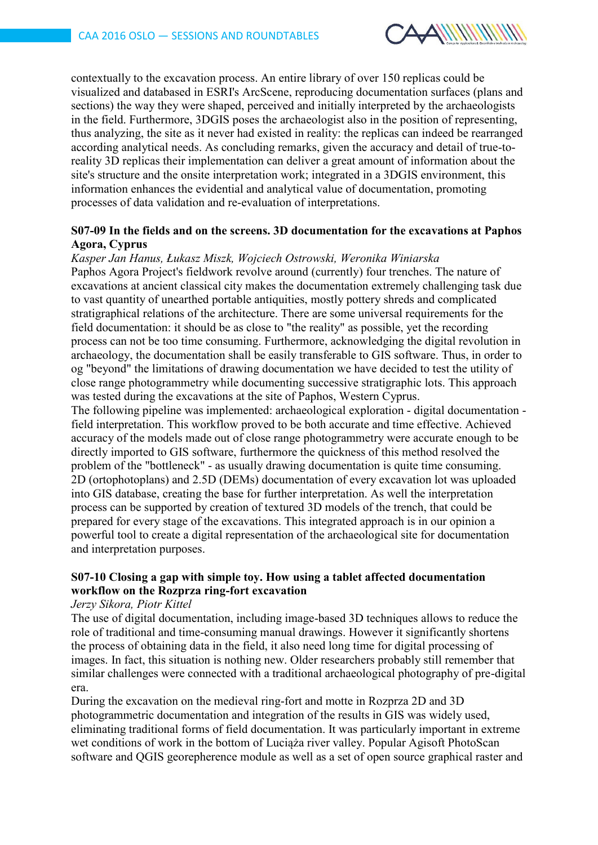

contextually to the excavation process. An entire library of over 150 replicas could be visualized and databased in ESRI's ArcScene, reproducing documentation surfaces (plans and sections) the way they were shaped, perceived and initially interpreted by the archaeologists in the field. Furthermore, 3DGIS poses the archaeologist also in the position of representing, thus analyzing, the site as it never had existed in reality: the replicas can indeed be rearranged according analytical needs. As concluding remarks, given the accuracy and detail of true-toreality 3D replicas their implementation can deliver a great amount of information about the site's structure and the onsite interpretation work; integrated in a 3DGIS environment, this information enhances the evidential and analytical value of documentation, promoting processes of data validation and re-evaluation of interpretations.

### **S07-09 In the fields and on the screens. 3D documentation for the excavations at Paphos Agora, Cyprus**

#### *Kasper Jan Hanus, Łukasz Miszk, Wojciech Ostrowski, Weronika Winiarska*

Paphos Agora Project's fieldwork revolve around (currently) four trenches. The nature of excavations at ancient classical city makes the documentation extremely challenging task due to vast quantity of unearthed portable antiquities, mostly pottery shreds and complicated stratigraphical relations of the architecture. There are some universal requirements for the field documentation: it should be as close to "the reality" as possible, yet the recording process can not be too time consuming. Furthermore, acknowledging the digital revolution in archaeology, the documentation shall be easily transferable to GIS software. Thus, in order to og "beyond" the limitations of drawing documentation we have decided to test the utility of close range photogrammetry while documenting successive stratigraphic lots. This approach was tested during the excavations at the site of Paphos, Western Cyprus.

The following pipeline was implemented: archaeological exploration - digital documentation field interpretation. This workflow proved to be both accurate and time effective. Achieved accuracy of the models made out of close range photogrammetry were accurate enough to be directly imported to GIS software, furthermore the quickness of this method resolved the problem of the "bottleneck" - as usually drawing documentation is quite time consuming. 2D (ortophotoplans) and 2.5D (DEMs) documentation of every excavation lot was uploaded into GIS database, creating the base for further interpretation. As well the interpretation process can be supported by creation of textured 3D models of the trench, that could be prepared for every stage of the excavations. This integrated approach is in our opinion a powerful tool to create a digital representation of the archaeological site for documentation and interpretation purposes.

# **S07-10 Closing a gap with simple toy. How using a tablet affected documentation workflow on the Rozprza ring-fort excavation**

#### *Jerzy Sikora, Piotr Kittel*

The use of digital documentation, including image-based 3D techniques allows to reduce the role of traditional and time-consuming manual drawings. However it significantly shortens the process of obtaining data in the field, it also need long time for digital processing of images. In fact, this situation is nothing new. Older researchers probably still remember that similar challenges were connected with a traditional archaeological photography of pre-digital era.

During the excavation on the medieval ring-fort and motte in Rozprza 2D and 3D photogrammetric documentation and integration of the results in GIS was widely used, eliminating traditional forms of field documentation. It was particularly important in extreme wet conditions of work in the bottom of Luciaża river valley. Popular Agisoft PhotoScan software and QGIS georepherence module as well as a set of open source graphical raster and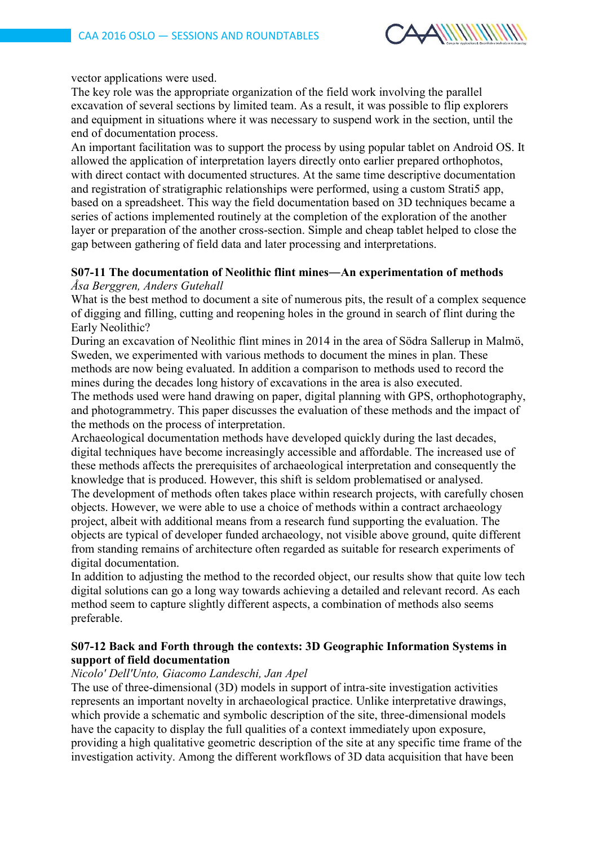

#### vector applications were used.

The key role was the appropriate organization of the field work involving the parallel excavation of several sections by limited team. As a result, it was possible to flip explorers and equipment in situations where it was necessary to suspend work in the section, until the end of documentation process.

An important facilitation was to support the process by using popular tablet on Android OS. It allowed the application of interpretation layers directly onto earlier prepared orthophotos, with direct contact with documented structures. At the same time descriptive documentation and registration of stratigraphic relationships were performed, using a custom Strati5 app, based on a spreadsheet. This way the field documentation based on 3D techniques became a series of actions implemented routinely at the completion of the exploration of the another layer or preparation of the another cross-section. Simple and cheap tablet helped to close the gap between gathering of field data and later processing and interpretations.

### **S07-11 The documentation of Neolithic flint mines―An experimentation of methods** *Åsa Berggren, Anders Gutehall*

What is the best method to document a site of numerous pits, the result of a complex sequence of digging and filling, cutting and reopening holes in the ground in search of flint during the Early Neolithic?

During an excavation of Neolithic flint mines in 2014 in the area of Södra Sallerup in Malmö, Sweden, we experimented with various methods to document the mines in plan. These methods are now being evaluated. In addition a comparison to methods used to record the mines during the decades long history of excavations in the area is also executed.

The methods used were hand drawing on paper, digital planning with GPS, orthophotography, and photogrammetry. This paper discusses the evaluation of these methods and the impact of the methods on the process of interpretation.

Archaeological documentation methods have developed quickly during the last decades, digital techniques have become increasingly accessible and affordable. The increased use of these methods affects the prerequisites of archaeological interpretation and consequently the knowledge that is produced. However, this shift is seldom problematised or analysed. The development of methods often takes place within research projects, with carefully chosen objects. However, we were able to use a choice of methods within a contract archaeology project, albeit with additional means from a research fund supporting the evaluation. The objects are typical of developer funded archaeology, not visible above ground, quite different from standing remains of architecture often regarded as suitable for research experiments of digital documentation.

In addition to adjusting the method to the recorded object, our results show that quite low tech digital solutions can go a long way towards achieving a detailed and relevant record. As each method seem to capture slightly different aspects, a combination of methods also seems preferable.

# **S07-12 Back and Forth through the contexts: 3D Geographic Information Systems in support of field documentation**

### *Nicolo' Dell'Unto, Giacomo Landeschi, Jan Apel*

The use of three-dimensional (3D) models in support of intra-site investigation activities represents an important novelty in archaeological practice. Unlike interpretative drawings, which provide a schematic and symbolic description of the site, three-dimensional models have the capacity to display the full qualities of a context immediately upon exposure, providing a high qualitative geometric description of the site at any specific time frame of the investigation activity. Among the different workflows of 3D data acquisition that have been